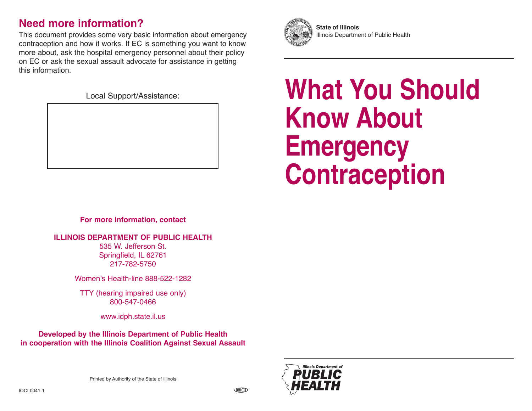## **Need more information?**

This document provides some very basic information about emergency contraception and how it works. If EC is something you want to know more about, ask the hospital emergency personnel about their policy on EC or ask the sexual assault advocate for assistance in getting this information.

Local Support/Assistance:

# **What You Should Know About Emergency Contraception**

**For more information, contact**

**ILLINOIS DEPARTMENT OF PUBLIC HEALTH**

535 W. Jefferson St. Springfield, IL 62761 217-782-5750

Women's Health-line 888-522-1282

TTY (hearing impaired use only) 800-547-0466

www.idph.state.il.us

**Developed by the Illinois Department of Public Health in cooperation with the Illinois Coalition Against Sexual Assault**

Printed by Authority of the State of Illinois



**State of Illinois** Illinois Department of Public Health